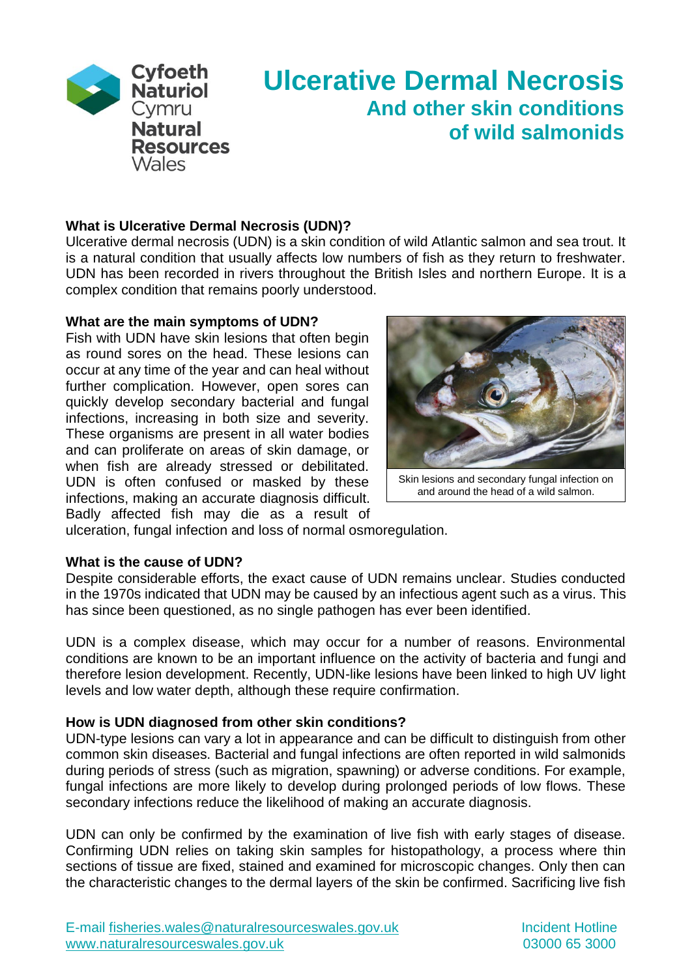

# **Ulcerative Dermal Necrosis And other skin conditions of wild salmonids**

## **What is Ulcerative Dermal Necrosis (UDN)?**

Ulcerative dermal necrosis (UDN) is a skin condition of wild Atlantic salmon and sea trout. It is a natural condition that usually affects low numbers of fish as they return to freshwater. UDN has been recorded in rivers throughout the British Isles and northern Europe. It is a complex condition that remains poorly understood.

### **What are the main symptoms of UDN?**

Fish with UDN have skin lesions that often begin as round sores on the head. These lesions can occur at any time of the year and can heal without further complication. However, open sores can quickly develop secondary bacterial and fungal infections, increasing in both size and severity. These organisms are present in all water bodies and can proliferate on areas of skin damage, or when fish are already stressed or debilitated. UDN is often confused or masked by these infections, making an accurate diagnosis difficult. Badly affected fish may die as a result of



Skin lesions and secondary fungal infection on and around the head of a wild salmon.

ulceration, fungal infection and loss of normal osmoregulation.

## **What is the cause of UDN?**

Despite considerable efforts, the exact cause of UDN remains unclear. Studies conducted in the 1970s indicated that UDN may be caused by an infectious agent such as a virus. This has since been questioned, as no single pathogen has ever been identified.

UDN is a complex disease, which may occur for a number of reasons. Environmental conditions are known to be an important influence on the activity of bacteria and fungi and therefore lesion development. Recently, UDN-like lesions have been linked to high UV light levels and low water depth, although these require confirmation.

### **How is UDN diagnosed from other skin conditions?**

UDN-type lesions can vary a lot in appearance and can be difficult to distinguish from other common skin diseases. Bacterial and fungal infections are often reported in wild salmonids during periods of stress (such as migration, spawning) or adverse conditions. For example, fungal infections are more likely to develop during prolonged periods of low flows. These secondary infections reduce the likelihood of making an accurate diagnosis.

UDN can only be confirmed by the examination of live fish with early stages of disease. Confirming UDN relies on taking skin samples for histopathology, a process where thin sections of tissue are fixed, stained and examined for microscopic changes. Only then can the characteristic changes to the dermal layers of the skin be confirmed. Sacrificing live fish